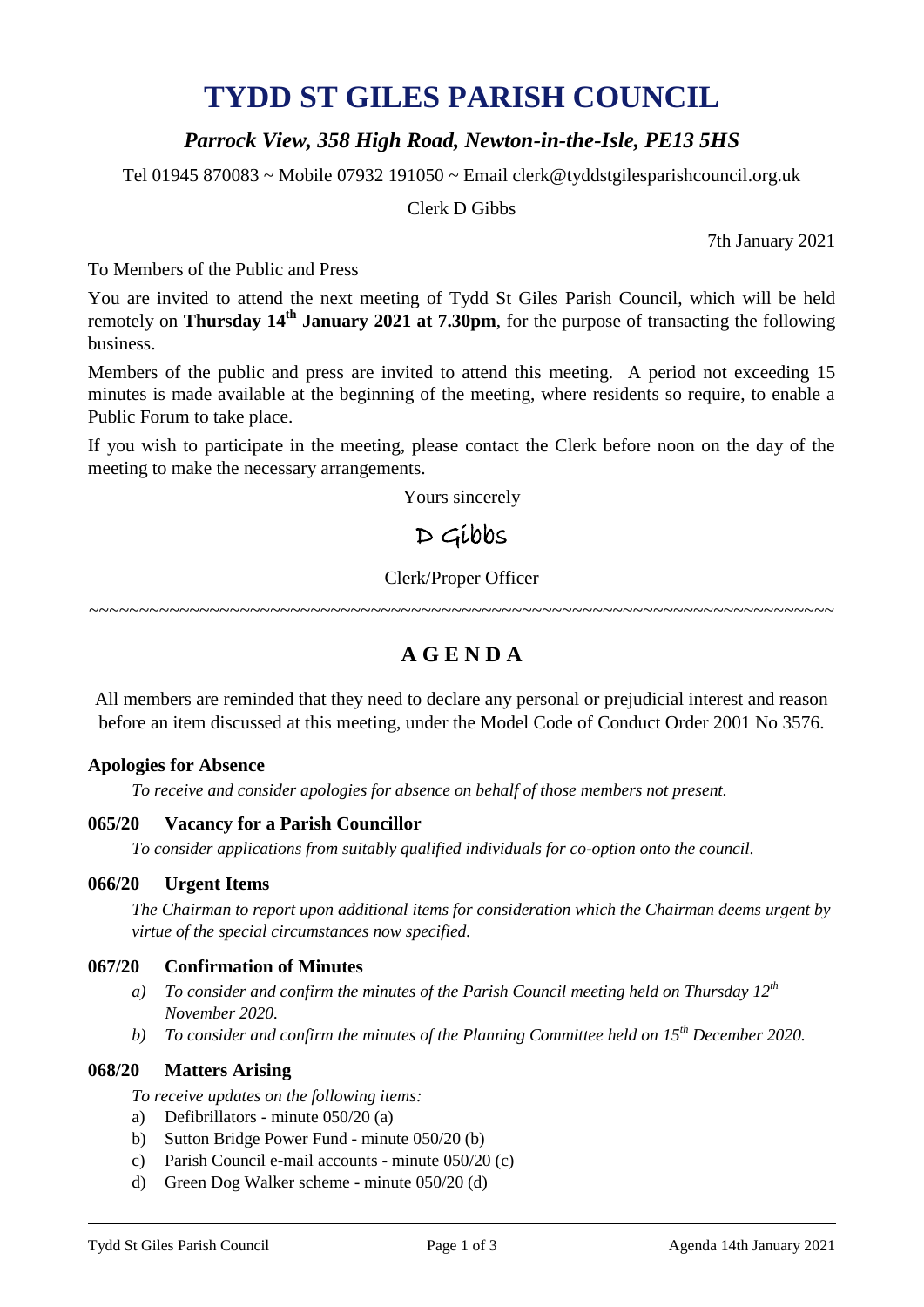# **TYDD ST GILES PARISH COUNCIL**

# *Parrock View, 358 High Road, Newton-in-the-Isle, PE13 5HS*

Tel 01945 870083 ~ Mobile 07932 191050 ~ Email clerk@tyddstgilesparishcouncil.org.uk

Clerk D Gibbs

7th January 2021

To Members of the Public and Press

You are invited to attend the next meeting of Tydd St Giles Parish Council, which will be held remotely on **Thursday 14<sup>th</sup> January 2021 at 7.30pm**, for the purpose of transacting the following business.

Members of the public and press are invited to attend this meeting. A period not exceeding 15 minutes is made available at the beginning of the meeting, where residents so require, to enable a Public Forum to take place.

If you wish to participate in the meeting, please contact the Clerk before noon on the day of the meeting to make the necessary arrangements.

Yours sincerely

# $D$  Gibbs

# Clerk/Proper Officer

~~~~~~~~~~~~~~~~~~~~~~~~~~~~~~~~~~~~~~~~~~~~~~~~~~~~~~~~~~~~~~~~~~~~~~~~~~

# **A G E N D A**

All members are reminded that they need to declare any personal or prejudicial interest and reason before an item discussed at this meeting, under the Model Code of Conduct Order 2001 No 3576.

# **Apologies for Absence**

*To receive and consider apologies for absence on behalf of those members not present.*

# **065/20 Vacancy for a Parish Councillor**

*To consider applications from suitably qualified individuals for co-option onto the council.*

#### **066/20 Urgent Items**

*The Chairman to report upon additional items for consideration which the Chairman deems urgent by virtue of the special circumstances now specified.*

# **067/20 Confirmation of Minutes**

- *a) To consider and confirm the minutes of the Parish Council meeting held on Thursday 12 th November 2020.*
- *b) To consider and confirm the minutes of the Planning Committee held on 15th December 2020.*

# **068/20 Matters Arising**

*To receive updates on the following items:*

- a) Defibrillators minute 050/20 (a)
- b) Sutton Bridge Power Fund minute 050/20 (b)
- c) Parish Council e-mail accounts minute 050/20 (c)
- d) Green Dog Walker scheme minute 050/20 (d)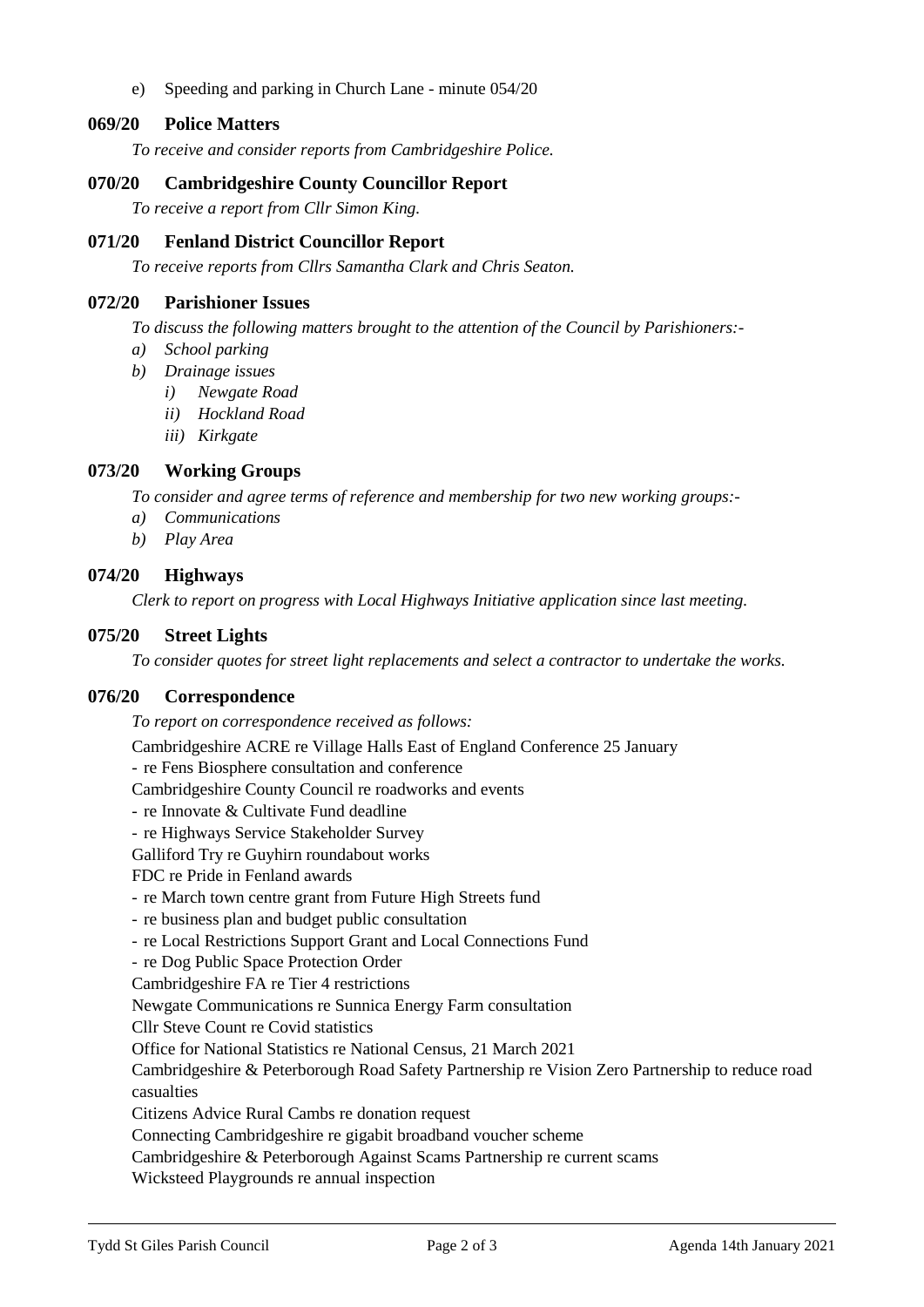e) Speeding and parking in Church Lane - minute 054/20

# **069/20 Police Matters**

*To receive and consider reports from Cambridgeshire Police.*

### **070/20 Cambridgeshire County Councillor Report**

*To receive a report from Cllr Simon King.*

#### **071/20 Fenland District Councillor Report**

*To receive reports from Cllrs Samantha Clark and Chris Seaton.*

#### **072/20 Parishioner Issues**

*To discuss the following matters brought to the attention of the Council by Parishioners:-*

- *a) School parking*
- *b) Drainage issues*
	- *i) Newgate Road*
	- *ii) Hockland Road*
	- *iii) Kirkgate*

# **073/20 Working Groups**

*To consider and agree terms of reference and membership for two new working groups:-*

- *a) Communications*
- *b) Play Area*

#### **074/20 Highways**

*Clerk to report on progress with Local Highways Initiative application since last meeting.*

#### **075/20 Street Lights**

*To consider quotes for street light replacements and select a contractor to undertake the works.*

#### **076/20 Correspondence**

*To report on correspondence received as follows:*

Cambridgeshire ACRE re Village Halls East of England Conference 25 January

- re Fens Biosphere consultation and conference
- Cambridgeshire County Council re roadworks and events
- re Innovate & Cultivate Fund deadline
- re Highways Service Stakeholder Survey
- Galliford Try re Guyhirn roundabout works

FDC re Pride in Fenland awards

- re March town centre grant from Future High Streets fund
- re business plan and budget public consultation
- re Local Restrictions Support Grant and Local Connections Fund
- re Dog Public Space Protection Order
- Cambridgeshire FA re Tier 4 restrictions

Newgate Communications re Sunnica Energy Farm consultation

Cllr Steve Count re Covid statistics

Office for National Statistics re National Census, 21 March 2021

Cambridgeshire & Peterborough Road Safety Partnership re Vision Zero Partnership to reduce road casualties

Citizens Advice Rural Cambs re donation request

Connecting Cambridgeshire re gigabit broadband voucher scheme

Cambridgeshire & Peterborough Against Scams Partnership re current scams

Wicksteed Playgrounds re annual inspection